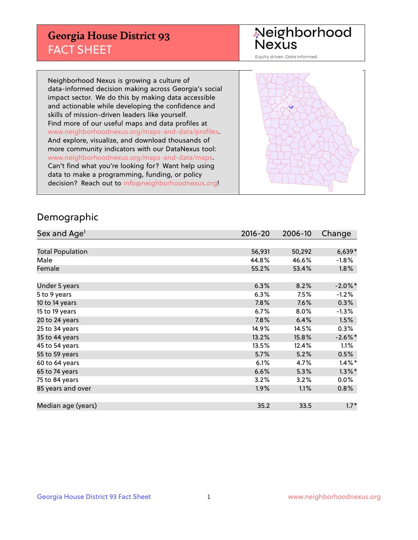## **Georgia House District 93** FACT SHEET

# Neighborhood<br>Nexus

Equity driven. Data informed.

Neighborhood Nexus is growing a culture of data-informed decision making across Georgia's social impact sector. We do this by making data accessible and actionable while developing the confidence and skills of mission-driven leaders like yourself. Find more of our useful maps and data profiles at www.neighborhoodnexus.org/maps-and-data/profiles. And explore, visualize, and download thousands of more community indicators with our DataNexus tool: www.neighborhoodnexus.org/maps-and-data/maps. Can't find what you're looking for? Want help using data to make a programming, funding, or policy decision? Reach out to [info@neighborhoodnexus.org!](mailto:info@neighborhoodnexus.org)



### Demographic

| Sex and Age <sup>1</sup> | 2016-20 | 2006-10 | Change     |
|--------------------------|---------|---------|------------|
|                          |         |         |            |
| <b>Total Population</b>  | 56,931  | 50,292  | $6,639*$   |
| Male                     | 44.8%   | 46.6%   | $-1.8%$    |
| Female                   | 55.2%   | 53.4%   | $1.8\%$    |
|                          |         |         |            |
| Under 5 years            | 6.3%    | 8.2%    | $-2.0\%$ * |
| 5 to 9 years             | 6.3%    | 7.5%    | $-1.2%$    |
| 10 to 14 years           | 7.8%    | 7.6%    | 0.3%       |
| 15 to 19 years           | 6.7%    | 8.0%    | $-1.3%$    |
| 20 to 24 years           | 7.8%    | 6.4%    | 1.5%       |
| 25 to 34 years           | 14.9%   | 14.5%   | $0.3\%$    |
| 35 to 44 years           | 13.2%   | 15.8%   | $-2.6\%$ * |
| 45 to 54 years           | 13.5%   | 12.4%   | 1.1%       |
| 55 to 59 years           | 5.7%    | 5.2%    | 0.5%       |
| 60 to 64 years           | 6.1%    | 4.7%    | $1.4\%$ *  |
| 65 to 74 years           | 6.6%    | 5.3%    | $1.3\%$ *  |
| 75 to 84 years           | 3.2%    | 3.2%    | $0.0\%$    |
| 85 years and over        | 1.9%    | 1.1%    | $0.8\%$    |
|                          |         |         |            |
| Median age (years)       | 35.2    | 33.5    | $1.7*$     |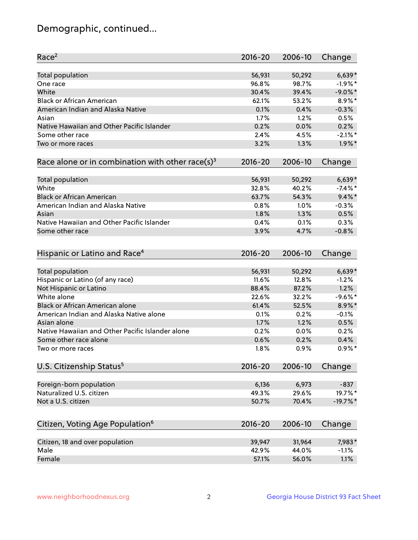## Demographic, continued...

| Race <sup>2</sup>                                            | $2016 - 20$     | 2006-10 | Change              |
|--------------------------------------------------------------|-----------------|---------|---------------------|
| <b>Total population</b>                                      | 56,931          | 50,292  | $6,639*$            |
| One race                                                     | 96.8%           | 98.7%   | $-1.9%$ *           |
| White                                                        | 30.4%           | 39.4%   | $-9.0\%$ *          |
| <b>Black or African American</b>                             | 62.1%           | 53.2%   | 8.9%*               |
| American Indian and Alaska Native                            | 0.1%            | 0.4%    | $-0.3%$             |
| Asian                                                        | 1.7%            | 1.2%    | 0.5%                |
| Native Hawaiian and Other Pacific Islander                   | 0.2%            | 0.0%    | 0.2%                |
| Some other race                                              | 2.4%            | 4.5%    | $-2.1\%$ *          |
| Two or more races                                            | 3.2%            | 1.3%    | $1.9\%$ *           |
| Race alone or in combination with other race(s) <sup>3</sup> | $2016 - 20$     | 2006-10 | Change              |
| Total population                                             | 56,931          | 50,292  | $6,639*$            |
| White                                                        | 32.8%           | 40.2%   | $-7.4\%$ *          |
| <b>Black or African American</b>                             | 63.7%           | 54.3%   | $9.4\%$ *           |
| American Indian and Alaska Native                            | 0.8%            | 1.0%    | $-0.3%$             |
| Asian                                                        | 1.8%            | 1.3%    | 0.5%                |
| Native Hawaiian and Other Pacific Islander                   | 0.4%            | 0.1%    | 0.3%                |
| Some other race                                              | 3.9%            | 4.7%    | $-0.8%$             |
| Hispanic or Latino and Race <sup>4</sup>                     | $2016 - 20$     | 2006-10 | Change              |
|                                                              |                 |         |                     |
| Total population                                             | 56,931<br>11.6% | 50,292  | $6,639*$<br>$-1.2%$ |
| Hispanic or Latino (of any race)                             |                 | 12.8%   |                     |
| Not Hispanic or Latino                                       | 88.4%           | 87.2%   | 1.2%                |
| White alone                                                  | 22.6%           | 32.2%   | $-9.6%$ *           |
| Black or African American alone                              | 61.4%           | 52.5%   | 8.9%*               |
| American Indian and Alaska Native alone                      | 0.1%            | 0.2%    | $-0.1%$             |
| Asian alone                                                  | 1.7%            | 1.2%    | 0.5%                |
| Native Hawaiian and Other Pacific Islander alone             | 0.2%            | 0.0%    | 0.2%                |
| Some other race alone                                        | 0.6%            | 0.2%    | 0.4%                |
| Two or more races                                            | 1.8%            | 0.9%    | $0.9\%$ *           |
| U.S. Citizenship Status <sup>5</sup>                         | $2016 - 20$     | 2006-10 | Change              |
| Foreign-born population                                      | 6,136           | 6,973   | $-837$              |
| Naturalized U.S. citizen                                     | 49.3%           | 29.6%   | 19.7%*              |
| Not a U.S. citizen                                           | 50.7%           | 70.4%   | $-19.7%$ *          |
| Citizen, Voting Age Population <sup>6</sup>                  | 2016-20         | 2006-10 | Change              |
|                                                              |                 |         |                     |
| Citizen, 18 and over population                              | 39,947          | 31,964  | 7,983*              |
| Male                                                         | 42.9%           | 44.0%   | $-1.1%$             |
| Female                                                       | 57.1%           | 56.0%   | 1.1%                |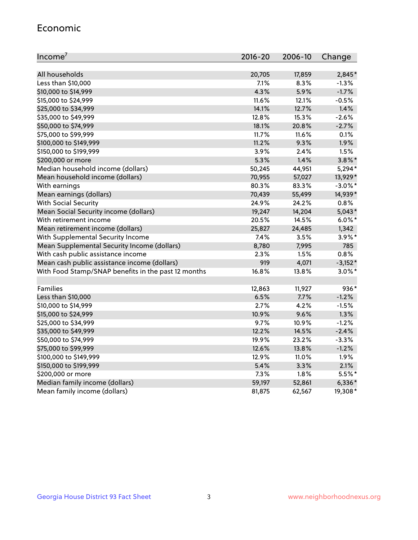#### Economic

| Income <sup>7</sup>                                 | $2016 - 20$ | 2006-10 | Change     |
|-----------------------------------------------------|-------------|---------|------------|
|                                                     |             |         |            |
| All households                                      | 20,705      | 17,859  | 2,845*     |
| Less than \$10,000                                  | 7.1%        | 8.3%    | $-1.3%$    |
| \$10,000 to \$14,999                                | 4.3%        | 5.9%    | $-1.7%$    |
| \$15,000 to \$24,999                                | 11.6%       | 12.1%   | $-0.5%$    |
| \$25,000 to \$34,999                                | 14.1%       | 12.7%   | 1.4%       |
| \$35,000 to \$49,999                                | 12.8%       | 15.3%   | $-2.6%$    |
| \$50,000 to \$74,999                                | 18.1%       | 20.8%   | $-2.7%$    |
| \$75,000 to \$99,999                                | 11.7%       | 11.6%   | 0.1%       |
| \$100,000 to \$149,999                              | 11.2%       | 9.3%    | 1.9%       |
| \$150,000 to \$199,999                              | 3.9%        | 2.4%    | 1.5%       |
| \$200,000 or more                                   | 5.3%        | 1.4%    | $3.8\%$ *  |
| Median household income (dollars)                   | 50,245      | 44,951  | 5,294*     |
| Mean household income (dollars)                     | 70,955      | 57,027  | 13,929*    |
| With earnings                                       | 80.3%       | 83.3%   | $-3.0\%$ * |
| Mean earnings (dollars)                             | 70,439      | 55,499  | 14,939*    |
| <b>With Social Security</b>                         | 24.9%       | 24.2%   | 0.8%       |
| Mean Social Security income (dollars)               | 19,247      | 14,204  | $5,043*$   |
| With retirement income                              | 20.5%       | 14.5%   | $6.0\%$ *  |
| Mean retirement income (dollars)                    | 25,827      | 24,485  | 1,342      |
| With Supplemental Security Income                   | 7.4%        | 3.5%    | $3.9\%$ *  |
| Mean Supplemental Security Income (dollars)         | 8,780       | 7,995   | 785        |
| With cash public assistance income                  | 2.3%        | 1.5%    | 0.8%       |
| Mean cash public assistance income (dollars)        | 919         | 4,071   | $-3,152*$  |
| With Food Stamp/SNAP benefits in the past 12 months | 16.8%       | 13.8%   | $3.0\%$ *  |
|                                                     |             |         |            |
| Families                                            | 12,863      | 11,927  | 936*       |
| Less than \$10,000                                  | 6.5%        | 7.7%    | $-1.2%$    |
| \$10,000 to \$14,999                                | 2.7%        | 4.2%    | $-1.5%$    |
| \$15,000 to \$24,999                                | 10.9%       | 9.6%    | 1.3%       |
| \$25,000 to \$34,999                                | 9.7%        | 10.9%   | $-1.2%$    |
| \$35,000 to \$49,999                                | 12.2%       | 14.5%   | $-2.4%$    |
| \$50,000 to \$74,999                                | 19.9%       | 23.2%   | $-3.3%$    |
| \$75,000 to \$99,999                                | 12.6%       | 13.8%   | $-1.2%$    |
| \$100,000 to \$149,999                              | 12.9%       | 11.0%   | 1.9%       |
| \$150,000 to \$199,999                              | 5.4%        | 3.3%    | 2.1%       |
| \$200,000 or more                                   | 7.3%        | 1.8%    | 5.5%*      |
| Median family income (dollars)                      | 59,197      | 52,861  | $6,336*$   |
| Mean family income (dollars)                        | 81,875      | 62,567  | 19,308*    |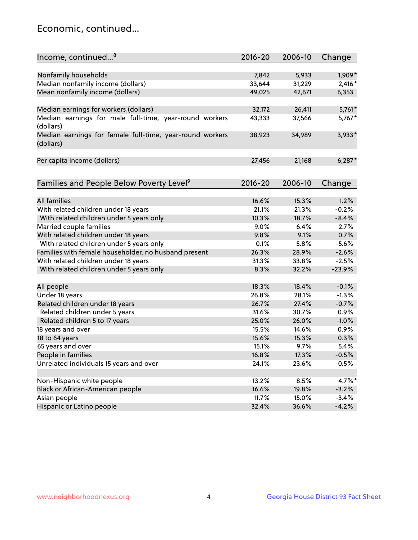## Economic, continued...

| Income, continued <sup>8</sup>                           | $2016 - 20$ | 2006-10 | Change   |
|----------------------------------------------------------|-------------|---------|----------|
|                                                          |             |         |          |
| Nonfamily households                                     | 7,842       | 5,933   | 1,909*   |
| Median nonfamily income (dollars)                        | 33,644      | 31,229  | $2,416*$ |
| Mean nonfamily income (dollars)                          | 49,025      | 42,671  | 6,353    |
|                                                          |             |         |          |
| Median earnings for workers (dollars)                    | 32,172      | 26,411  | $5,761*$ |
| Median earnings for male full-time, year-round workers   | 43,333      | 37,566  | 5,767*   |
| (dollars)                                                |             |         |          |
| Median earnings for female full-time, year-round workers | 38,923      | 34,989  | 3,933*   |
| (dollars)                                                |             |         |          |
|                                                          |             |         |          |
| Per capita income (dollars)                              | 27,456      | 21,168  | $6,287*$ |
|                                                          |             |         |          |
|                                                          |             |         |          |
| Families and People Below Poverty Level <sup>9</sup>     | $2016 - 20$ | 2006-10 | Change   |
|                                                          |             |         |          |
| <b>All families</b>                                      | 16.6%       | 15.3%   | 1.2%     |
| With related children under 18 years                     | 21.1%       | 21.3%   | $-0.2%$  |
| With related children under 5 years only                 | 10.3%       | 18.7%   | $-8.4%$  |
| Married couple families                                  | 9.0%        | 6.4%    | 2.7%     |
| With related children under 18 years                     | 9.8%        | 9.1%    | 0.7%     |
| With related children under 5 years only                 | 0.1%        | 5.8%    | $-5.6%$  |
| Families with female householder, no husband present     | 26.3%       | 28.9%   | $-2.6%$  |
| With related children under 18 years                     | 31.3%       | 33.8%   | $-2.5%$  |
| With related children under 5 years only                 | 8.3%        | 32.2%   | $-23.9%$ |
|                                                          |             |         |          |
| All people                                               | 18.3%       | 18.4%   | $-0.1%$  |
| Under 18 years                                           | 26.8%       | 28.1%   | $-1.3%$  |
| Related children under 18 years                          | 26.7%       | 27.4%   | $-0.7%$  |
| Related children under 5 years                           | 31.6%       | 30.7%   | 0.9%     |
| Related children 5 to 17 years                           | 25.0%       | 26.0%   | $-1.0%$  |
| 18 years and over                                        | 15.5%       | 14.6%   | 0.9%     |
| 18 to 64 years                                           | 15.6%       | 15.3%   | 0.3%     |
| 65 years and over                                        | 15.1%       | 9.7%    | 5.4%     |
| People in families                                       | 16.8%       | 17.3%   | $-0.5%$  |
| Unrelated individuals 15 years and over                  | 24.1%       | 23.6%   | 0.5%     |
|                                                          |             |         |          |
| Non-Hispanic white people                                | 13.2%       | 8.5%    | 4.7%*    |
| Black or African-American people                         | 16.6%       | 19.8%   | $-3.2%$  |
| Asian people                                             | 11.7%       | 15.0%   | $-3.4%$  |
| Hispanic or Latino people                                | 32.4%       | 36.6%   | $-4.2%$  |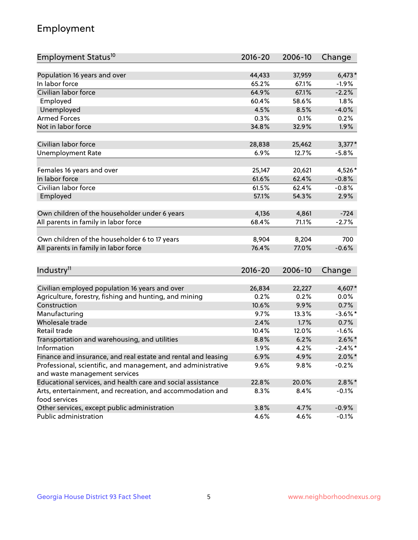## Employment

| Employment Status <sup>10</sup>                                             | $2016 - 20$ | 2006-10 | Change     |
|-----------------------------------------------------------------------------|-------------|---------|------------|
|                                                                             |             |         |            |
| Population 16 years and over                                                | 44,433      | 37,959  | $6,473*$   |
| In labor force                                                              | 65.2%       | 67.1%   | $-1.9%$    |
| Civilian labor force                                                        | 64.9%       | 67.1%   | $-2.2%$    |
| Employed                                                                    | 60.4%       | 58.6%   | 1.8%       |
| Unemployed                                                                  | 4.5%        | 8.5%    | $-4.0%$    |
| <b>Armed Forces</b>                                                         | 0.3%        | 0.1%    | 0.2%       |
| Not in labor force                                                          | 34.8%       | 32.9%   | 1.9%       |
| Civilian labor force                                                        | 28,838      | 25,462  | $3,377*$   |
| <b>Unemployment Rate</b>                                                    | 6.9%        | 12.7%   | $-5.8%$    |
|                                                                             |             |         |            |
| Females 16 years and over                                                   | 25,147      | 20,621  | 4,526*     |
| In labor force                                                              | 61.6%       | 62.4%   | $-0.8%$    |
| Civilian labor force                                                        | 61.5%       | 62.4%   | $-0.8%$    |
| Employed                                                                    | 57.1%       | 54.3%   | 2.9%       |
|                                                                             |             |         |            |
| Own children of the householder under 6 years                               | 4,136       | 4,861   | $-724$     |
| All parents in family in labor force                                        | 68.4%       | 71.1%   | $-2.7%$    |
|                                                                             |             |         |            |
| Own children of the householder 6 to 17 years                               | 8,904       | 8,204   | 700        |
| All parents in family in labor force                                        | 76.4%       | 77.0%   | $-0.6%$    |
|                                                                             |             |         |            |
| Industry <sup>11</sup>                                                      | $2016 - 20$ | 2006-10 | Change     |
|                                                                             |             |         |            |
| Civilian employed population 16 years and over                              | 26,834      | 22,227  | 4,607*     |
| Agriculture, forestry, fishing and hunting, and mining                      | 0.2%        | 0.2%    | 0.0%       |
| Construction                                                                | 10.6%       | 9.9%    | 0.7%       |
| Manufacturing                                                               | 9.7%        | 13.3%   | $-3.6\%$ * |
| Wholesale trade                                                             | 2.4%        | 1.7%    | 0.7%       |
| Retail trade                                                                | 10.4%       | 12.0%   | $-1.6%$    |
| Transportation and warehousing, and utilities                               | 8.8%        | 6.2%    | $2.6\%$ *  |
| Information                                                                 | 1.9%        | 4.2%    | $-2.4\%$ * |
| Finance and insurance, and real estate and rental and leasing               | 6.9%        | 4.9%    | $2.0\%$ *  |
| Professional, scientific, and management, and administrative                | $9.6\%$     | 9.8%    | $-0.2%$    |
| and waste management services                                               |             |         |            |
| Educational services, and health care and social assistance                 | 22.8%       | 20.0%   | $2.8\%$ *  |
| Arts, entertainment, and recreation, and accommodation and<br>food services | 8.3%        | 8.4%    | $-0.1%$    |
| Other services, except public administration                                | 3.8%        | 4.7%    | $-0.9%$    |
| Public administration                                                       | 4.6%        | 4.6%    | $-0.1%$    |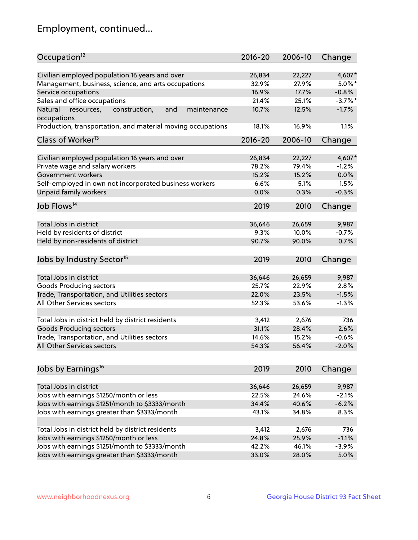## Employment, continued...

| Occupation <sup>12</sup>                                     | $2016 - 20$ | 2006-10 | Change     |
|--------------------------------------------------------------|-------------|---------|------------|
| Civilian employed population 16 years and over               | 26,834      | 22,227  | 4,607*     |
| Management, business, science, and arts occupations          | 32.9%       | 27.9%   | $5.0\%$ *  |
| Service occupations                                          | 16.9%       | 17.7%   | $-0.8%$    |
| Sales and office occupations                                 | 21.4%       | 25.1%   | $-3.7\%$ * |
| Natural<br>and<br>maintenance<br>resources,<br>construction, | 10.7%       | 12.5%   | $-1.7%$    |
| occupations                                                  |             |         |            |
| Production, transportation, and material moving occupations  | 18.1%       | 16.9%   | 1.1%       |
| Class of Worker <sup>13</sup>                                | $2016 - 20$ | 2006-10 | Change     |
|                                                              |             |         |            |
| Civilian employed population 16 years and over               | 26,834      | 22,227  | 4,607*     |
| Private wage and salary workers                              | 78.2%       | 79.4%   | $-1.2%$    |
| Government workers                                           | 15.2%       | 15.2%   | 0.0%       |
| Self-employed in own not incorporated business workers       | 6.6%        | 5.1%    | 1.5%       |
| Unpaid family workers                                        | 0.0%        | 0.3%    | $-0.3%$    |
| Job Flows <sup>14</sup>                                      | 2019        | 2010    | Change     |
|                                                              |             |         |            |
| Total Jobs in district                                       | 36,646      | 26,659  | 9,987      |
| Held by residents of district                                | 9.3%        | 10.0%   | $-0.7%$    |
| Held by non-residents of district                            | 90.7%       | 90.0%   | 0.7%       |
| Jobs by Industry Sector <sup>15</sup>                        | 2019        | 2010    | Change     |
|                                                              |             |         |            |
| Total Jobs in district                                       | 36,646      | 26,659  | 9,987      |
| Goods Producing sectors                                      | 25.7%       | 22.9%   | 2.8%       |
| Trade, Transportation, and Utilities sectors                 | 22.0%       | 23.5%   | $-1.5%$    |
| All Other Services sectors                                   | 52.3%       | 53.6%   | $-1.3%$    |
|                                                              |             |         |            |
| Total Jobs in district held by district residents            | 3,412       | 2,676   | 736        |
| <b>Goods Producing sectors</b>                               | 31.1%       | 28.4%   | 2.6%       |
| Trade, Transportation, and Utilities sectors                 | 14.6%       | 15.2%   | $-0.6%$    |
| All Other Services sectors                                   | 54.3%       | 56.4%   | $-2.0%$    |
|                                                              |             |         |            |
| Jobs by Earnings <sup>16</sup>                               | 2019        | 2010    | Change     |
| Total Jobs in district                                       | 36,646      | 26,659  | 9,987      |
|                                                              | 22.5%       | 24.6%   | $-2.1%$    |
| Jobs with earnings \$1250/month or less                      | 34.4%       |         |            |
| Jobs with earnings \$1251/month to \$3333/month              |             | 40.6%   | $-6.2%$    |
| Jobs with earnings greater than \$3333/month                 | 43.1%       | 34.8%   | 8.3%       |
| Total Jobs in district held by district residents            | 3,412       | 2,676   | 736        |
| Jobs with earnings \$1250/month or less                      | 24.8%       | 25.9%   | $-1.1%$    |
| Jobs with earnings \$1251/month to \$3333/month              | 42.2%       | 46.1%   | $-3.9%$    |
| Jobs with earnings greater than \$3333/month                 | 33.0%       | 28.0%   | 5.0%       |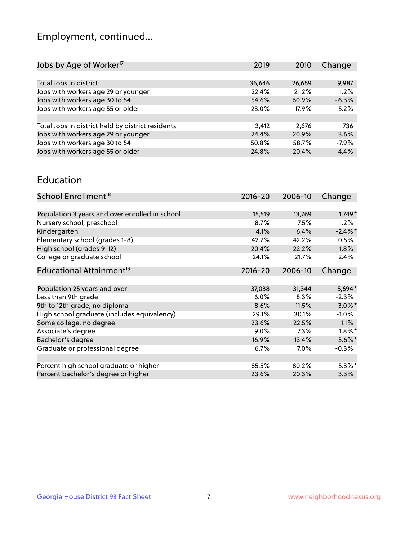## Employment, continued...

| Change  |
|---------|
|         |
| 9,987   |
| 1.2%    |
| $-6.3%$ |
| 5.2%    |
|         |
| 736     |
| 3.6%    |
| $-7.9%$ |
| 4.4%    |
|         |

#### Education

| School Enrollment <sup>18</sup>                | $2016 - 20$ | 2006-10 | Change     |
|------------------------------------------------|-------------|---------|------------|
|                                                |             |         |            |
| Population 3 years and over enrolled in school | 15,519      | 13,769  | $1,749*$   |
| Nursery school, preschool                      | 8.7%        | 7.5%    | $1.2\%$    |
| Kindergarten                                   | 4.1%        | 6.4%    | $-2.4\%$ * |
| Elementary school (grades 1-8)                 | 42.7%       | 42.2%   | 0.5%       |
| High school (grades 9-12)                      | 20.4%       | 22.2%   | $-1.8%$    |
| College or graduate school                     | 24.1%       | 21.7%   | 2.4%       |
| Educational Attainment <sup>19</sup>           | $2016 - 20$ | 2006-10 | Change     |
|                                                |             |         |            |
| Population 25 years and over                   | 37,038      | 31,344  | 5,694*     |
| Less than 9th grade                            | 6.0%        | 8.3%    | $-2.3%$    |
| 9th to 12th grade, no diploma                  | 8.6%        | 11.5%   | $-3.0\%$ * |
| High school graduate (includes equivalency)    | 29.1%       | 30.1%   | $-1.0\%$   |
| Some college, no degree                        | 23.6%       | 22.5%   | $1.1\%$    |
| Associate's degree                             | 9.0%        | 7.3%    | $1.8\%$ *  |
| Bachelor's degree                              | 16.9%       | 13.4%   | $3.6\%$ *  |
| Graduate or professional degree                | 6.7%        | $7.0\%$ | $-0.3%$    |
|                                                |             |         |            |
| Percent high school graduate or higher         | 85.5%       | 80.2%   | $5.3\%*$   |
| Percent bachelor's degree or higher            | 23.6%       | 20.3%   | 3.3%       |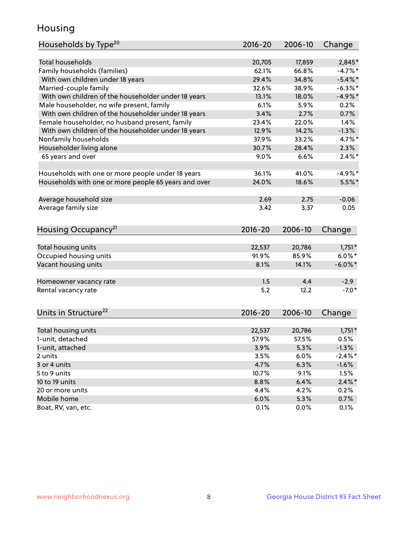## Housing

| Households by Type <sup>20</sup>                     | 2016-20     | 2006-10 |            |
|------------------------------------------------------|-------------|---------|------------|
|                                                      |             |         | Change     |
| <b>Total households</b>                              | 20,705      | 17,859  | 2,845*     |
| Family households (families)                         | 62.1%       | 66.8%   | $-4.7%$ *  |
| With own children under 18 years                     | 29.4%       | 34.8%   | $-5.4\%$ * |
|                                                      | 32.6%       | 38.9%   | $-6.3\%$ * |
| Married-couple family                                | 13.1%       |         | $-4.9%$ *  |
| With own children of the householder under 18 years  |             | 18.0%   |            |
| Male householder, no wife present, family            | 6.1%        | 5.9%    | 0.2%       |
| With own children of the householder under 18 years  | 3.4%        | 2.7%    | 0.7%       |
| Female householder, no husband present, family       | 23.4%       | 22.0%   | 1.4%       |
| With own children of the householder under 18 years  | 12.9%       | 14.2%   | $-1.3%$    |
| Nonfamily households                                 | 37.9%       | 33.2%   | 4.7%*      |
| Householder living alone                             | 30.7%       | 28.4%   | 2.3%       |
| 65 years and over                                    | 9.0%        | 6.6%    | $2.4\%$ *  |
|                                                      | 36.1%       | 41.0%   |            |
| Households with one or more people under 18 years    |             |         | $-4.9%$ *  |
| Households with one or more people 65 years and over | 24.0%       | 18.6%   | $5.5%$ *   |
| Average household size                               | 2.69        | 2.75    | $-0.06$    |
| Average family size                                  | 3.42        | 3.37    | 0.05       |
|                                                      |             |         |            |
|                                                      |             |         |            |
| Housing Occupancy <sup>21</sup>                      | $2016 - 20$ | 2006-10 | Change     |
|                                                      |             |         |            |
| Total housing units                                  | 22,537      | 20,786  | $1,751*$   |
| Occupied housing units                               | 91.9%       | 85.9%   | $6.0\%$ *  |
| Vacant housing units                                 | 8.1%        | 14.1%   | $-6.0\%$ * |
|                                                      |             | 4.4     |            |
| Homeowner vacancy rate                               | 1.5         |         | $-2.9$     |
| Rental vacancy rate                                  | 5.2         | 12.2    | $-7.0*$    |
| Units in Structure <sup>22</sup>                     | $2016 - 20$ | 2006-10 | Change     |
|                                                      |             |         |            |
| Total housing units                                  | 22,537      | 20,786  | $1,751*$   |
| 1-unit, detached                                     | 57.9%       | 57.5%   | 0.5%       |
| 1-unit, attached                                     | 3.9%        | 5.3%    | $-1.3%$    |
| 2 units                                              | 3.5%        | 6.0%    | $-2.4\%$ * |
| 3 or 4 units                                         | 4.7%        | 6.3%    | $-1.6%$    |
| 5 to 9 units                                         | 10.7%       | 9.1%    | 1.5%       |
| 10 to 19 units                                       | 8.8%        | 6.4%    | $2.4\%$ *  |
| 20 or more units                                     | 4.4%        | 4.2%    | 0.2%       |
| Mobile home                                          | 6.0%        | 5.3%    | 0.7%       |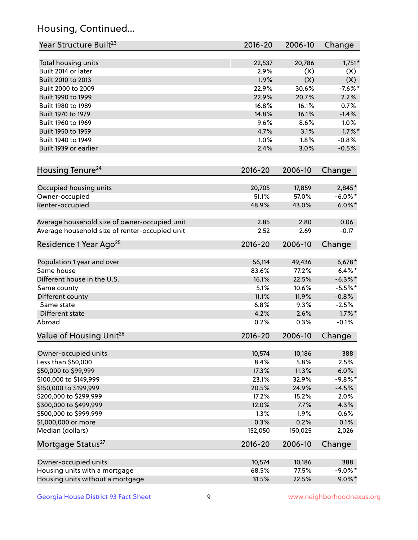## Housing, Continued...

| Year Structure Built <sup>23</sup>             | 2016-20     | 2006-10 | Change     |
|------------------------------------------------|-------------|---------|------------|
| Total housing units                            | 22,537      | 20,786  | $1,751*$   |
| Built 2014 or later                            | 2.9%        | (X)     | (X)        |
| Built 2010 to 2013                             | 1.9%        | (X)     | (X)        |
| Built 2000 to 2009                             | 22.9%       | 30.6%   | $-7.6%$ *  |
| Built 1990 to 1999                             | 22.9%       | 20.7%   | 2.2%       |
| Built 1980 to 1989                             | 16.8%       | 16.1%   | 0.7%       |
| Built 1970 to 1979                             | 14.8%       | 16.1%   | $-1.4%$    |
| Built 1960 to 1969                             | 9.6%        | 8.6%    | 1.0%       |
| Built 1950 to 1959                             | 4.7%        | 3.1%    | $1.7\%$ *  |
| Built 1940 to 1949                             | 1.0%        | 1.8%    | $-0.8%$    |
| Built 1939 or earlier                          | 2.4%        | 3.0%    | $-0.5%$    |
| Housing Tenure <sup>24</sup>                   | $2016 - 20$ | 2006-10 | Change     |
|                                                |             |         |            |
| Occupied housing units                         | 20,705      | 17,859  | 2,845*     |
| Owner-occupied                                 | 51.1%       | 57.0%   | $-6.0\%$ * |
| Renter-occupied                                | 48.9%       | 43.0%   | $6.0\%$ *  |
| Average household size of owner-occupied unit  | 2.85        | 2.80    | 0.06       |
| Average household size of renter-occupied unit | 2.52        | 2.69    | $-0.17$    |
| Residence 1 Year Ago <sup>25</sup>             | $2016 - 20$ | 2006-10 | Change     |
| Population 1 year and over                     | 56,114      | 49,436  | $6,678*$   |
| Same house                                     | 83.6%       | 77.2%   | $6.4\%*$   |
| Different house in the U.S.                    | 16.1%       | 22.5%   | $-6.3\%$ * |
| Same county                                    | 5.1%        | 10.6%   | $-5.5%$ *  |
| Different county                               | 11.1%       | 11.9%   | $-0.8%$    |
| Same state                                     | 6.8%        | 9.3%    | $-2.5%$    |
| Different state                                | 4.2%        | 2.6%    | $1.7\%$ *  |
| Abroad                                         | 0.2%        | 0.3%    | $-0.1%$    |
| Value of Housing Unit <sup>26</sup>            | $2016 - 20$ | 2006-10 | Change     |
|                                                |             |         |            |
| Owner-occupied units                           | 10,574      | 10,186  | 388        |
| Less than \$50,000                             | 8.4%        | 5.8%    | 2.5%       |
| \$50,000 to \$99,999                           | 17.3%       | 11.3%   | 6.0%       |
| \$100,000 to \$149,999                         | 23.1%       | 32.9%   | $-9.8\%$ * |
| \$150,000 to \$199,999                         | 20.5%       | 24.9%   | $-4.5%$    |
| \$200,000 to \$299,999                         | 17.2%       | 15.2%   | 2.0%       |
| \$300,000 to \$499,999                         | 12.0%       | 7.7%    | 4.3%       |
| \$500,000 to \$999,999                         | 1.3%        | 1.9%    | $-0.6%$    |
| \$1,000,000 or more                            | 0.3%        | 0.2%    | 0.1%       |
| Median (dollars)                               | 152,050     | 150,025 | 2,026      |
| Mortgage Status <sup>27</sup>                  | $2016 - 20$ | 2006-10 | Change     |
| Owner-occupied units                           | 10,574      | 10,186  | 388        |
| Housing units with a mortgage                  | 68.5%       | 77.5%   | $-9.0\%$ * |
| Housing units without a mortgage               | 31.5%       | 22.5%   | $9.0\%$ *  |
|                                                |             |         |            |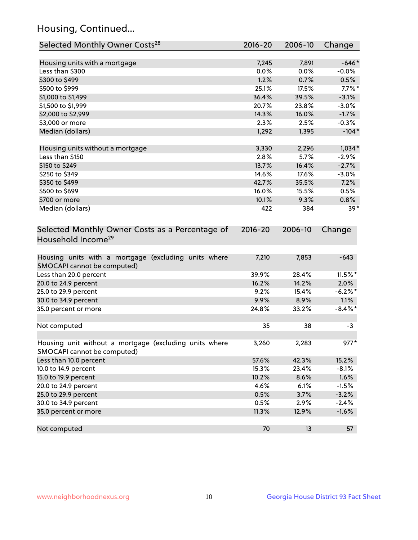## Housing, Continued...

| Selected Monthly Owner Costs <sup>28</sup>                                            | 2016-20 | 2006-10 | Change     |
|---------------------------------------------------------------------------------------|---------|---------|------------|
| Housing units with a mortgage                                                         | 7,245   | 7,891   | $-646*$    |
| Less than \$300                                                                       | 0.0%    | 0.0%    | $-0.0\%$   |
| \$300 to \$499                                                                        | 1.2%    | 0.7%    | 0.5%       |
| \$500 to \$999                                                                        | 25.1%   | 17.5%   | $7.7\%$ *  |
| \$1,000 to \$1,499                                                                    | 36.4%   | 39.5%   | $-3.1%$    |
| \$1,500 to \$1,999                                                                    | 20.7%   | 23.8%   | $-3.0%$    |
| \$2,000 to \$2,999                                                                    | 14.3%   | 16.0%   | $-1.7%$    |
| \$3,000 or more                                                                       | 2.3%    | 2.5%    | $-0.3%$    |
| Median (dollars)                                                                      | 1,292   | 1,395   | $-104*$    |
| Housing units without a mortgage                                                      | 3,330   | 2,296   | $1,034*$   |
| Less than \$150                                                                       | 2.8%    | 5.7%    | $-2.9%$    |
| \$150 to \$249                                                                        | 13.7%   | 16.4%   | $-2.7%$    |
| \$250 to \$349                                                                        | 14.6%   | 17.6%   | $-3.0%$    |
| \$350 to \$499                                                                        | 42.7%   | 35.5%   | 7.2%       |
| \$500 to \$699                                                                        | 16.0%   | 15.5%   | 0.5%       |
| \$700 or more                                                                         | 10.1%   | 9.3%    | 0.8%       |
| Median (dollars)                                                                      | 422     | 384     | $39*$      |
| Selected Monthly Owner Costs as a Percentage of<br>Household Income <sup>29</sup>     |         |         | Change     |
| Housing units with a mortgage (excluding units where<br>SMOCAPI cannot be computed)   | 7,210   | 7,853   | $-643$     |
| Less than 20.0 percent                                                                | 39.9%   | 28.4%   | $11.5\%$ * |
| 20.0 to 24.9 percent                                                                  | 16.2%   | 14.2%   | 2.0%       |
| 25.0 to 29.9 percent                                                                  | 9.2%    | 15.4%   | $-6.2\%$ * |
| 30.0 to 34.9 percent                                                                  | 9.9%    | 8.9%    | 1.1%       |
| 35.0 percent or more                                                                  | 24.8%   | 33.2%   | $-8.4\%$ * |
| Not computed                                                                          | 35      | 38      | $-3$       |
| Housing unit without a mortgage (excluding units where<br>SMOCAPI cannot be computed) | 3,260   | 2,283   | $977*$     |
| Less than 10.0 percent                                                                | 57.6%   | 42.3%   | 15.2%      |
| 10.0 to 14.9 percent                                                                  | 15.3%   | 23.4%   | $-8.1%$    |
| 15.0 to 19.9 percent                                                                  | 10.2%   | 8.6%    | 1.6%       |
| 20.0 to 24.9 percent                                                                  | 4.6%    | 6.1%    | $-1.5%$    |
| 25.0 to 29.9 percent                                                                  | 0.5%    | 3.7%    | $-3.2%$    |
| 30.0 to 34.9 percent                                                                  | 0.5%    | 2.9%    | $-2.4%$    |
| 35.0 percent or more                                                                  | 11.3%   | 12.9%   | $-1.6%$    |
| Not computed                                                                          | 70      | 13      | 57         |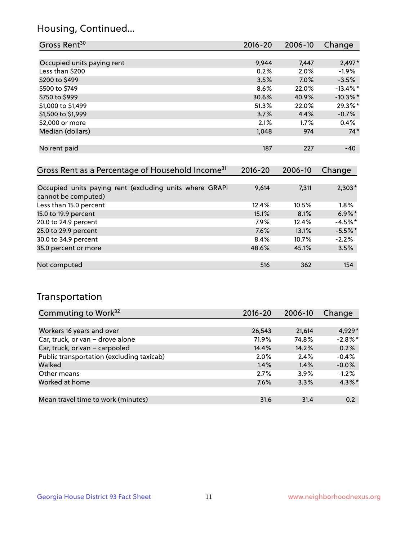## Housing, Continued...

| Gross Rent <sup>30</sup>   | 2016-20 | 2006-10 | Change      |
|----------------------------|---------|---------|-------------|
|                            |         |         |             |
| Occupied units paying rent | 9,944   | 7,447   | $2,497*$    |
| Less than \$200            | 0.2%    | 2.0%    | $-1.9%$     |
| \$200 to \$499             | 3.5%    | 7.0%    | $-3.5%$     |
| \$500 to \$749             | 8.6%    | 22.0%   | $-13.4\%$ * |
| \$750 to \$999             | 30.6%   | 40.9%   | $-10.3\%$ * |
| \$1,000 to \$1,499         | 51.3%   | 22.0%   | 29.3%*      |
| \$1,500 to \$1,999         | 3.7%    | 4.4%    | $-0.7%$     |
| \$2,000 or more            | 2.1%    | 1.7%    | 0.4%        |
| Median (dollars)           | 1,048   | 974     | $74*$       |
|                            |         |         |             |
| No rent paid               | 187     | 227     | $-40$       |
|                            |         |         |             |

| Gross Rent as a Percentage of Household Income <sup>31</sup>                   | $2016 - 20$ | 2006-10 | Change    |
|--------------------------------------------------------------------------------|-------------|---------|-----------|
|                                                                                |             |         |           |
| Occupied units paying rent (excluding units where GRAPI<br>cannot be computed) | 9,614       | 7,311   | $2,303*$  |
| Less than 15.0 percent                                                         | 12.4%       | 10.5%   | $1.8\%$   |
| 15.0 to 19.9 percent                                                           | 15.1%       | 8.1%    | $6.9\%$ * |
| 20.0 to 24.9 percent                                                           | 7.9%        | 12.4%   | $-4.5%$ * |
| 25.0 to 29.9 percent                                                           | 7.6%        | 13.1%   | $-5.5%$ * |
| 30.0 to 34.9 percent                                                           | 8.4%        | 10.7%   | $-2.2%$   |
| 35.0 percent or more                                                           | 48.6%       | 45.1%   | 3.5%      |
|                                                                                |             |         |           |
| Not computed                                                                   | 516         | 362     | 154       |

## Transportation

| Commuting to Work <sup>32</sup>           | 2016-20 | 2006-10 | Change     |
|-------------------------------------------|---------|---------|------------|
|                                           |         |         |            |
| Workers 16 years and over                 | 26,543  | 21,614  | 4,929*     |
| Car, truck, or van - drove alone          | 71.9%   | 74.8%   | $-2.8\%$ * |
| Car, truck, or van - carpooled            | 14.4%   | 14.2%   | 0.2%       |
| Public transportation (excluding taxicab) | 2.0%    | 2.4%    | $-0.4%$    |
| Walked                                    | 1.4%    | 1.4%    | $-0.0%$    |
| Other means                               | 2.7%    | $3.9\%$ | $-1.2%$    |
| Worked at home                            | 7.6%    | 3.3%    | $4.3\%$ *  |
|                                           |         |         |            |
| Mean travel time to work (minutes)        | 31.6    | 31.4    | 0.2        |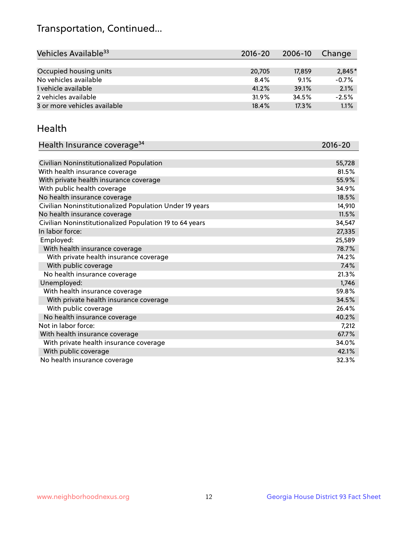## Transportation, Continued...

| Vehicles Available <sup>33</sup> | 2016-20 | 2006-10 | Change   |
|----------------------------------|---------|---------|----------|
|                                  |         |         |          |
| Occupied housing units           | 20,705  | 17.859  | $2,845*$ |
| No vehicles available            | 8.4%    | 9.1%    | $-0.7%$  |
| 1 vehicle available              | 41.2%   | 39.1%   | 2.1%     |
| 2 vehicles available             | 31.9%   | 34.5%   | $-2.5%$  |
| 3 or more vehicles available     | 18.4%   | 17.3%   | 1.1%     |

#### Health

| Health Insurance coverage <sup>34</sup>                 | 2016-20 |
|---------------------------------------------------------|---------|
|                                                         |         |
| Civilian Noninstitutionalized Population                | 55,728  |
| With health insurance coverage                          | 81.5%   |
| With private health insurance coverage                  | 55.9%   |
| With public health coverage                             | 34.9%   |
| No health insurance coverage                            | 18.5%   |
| Civilian Noninstitutionalized Population Under 19 years | 14,910  |
| No health insurance coverage                            | 11.5%   |
| Civilian Noninstitutionalized Population 19 to 64 years | 34,547  |
| In labor force:                                         | 27,335  |
| Employed:                                               | 25,589  |
| With health insurance coverage                          | 78.7%   |
| With private health insurance coverage                  | 74.2%   |
| With public coverage                                    | 7.4%    |
| No health insurance coverage                            | 21.3%   |
| Unemployed:                                             | 1,746   |
| With health insurance coverage                          | 59.8%   |
| With private health insurance coverage                  | 34.5%   |
| With public coverage                                    | 26.4%   |
| No health insurance coverage                            | 40.2%   |
| Not in labor force:                                     | 7,212   |
| With health insurance coverage                          | 67.7%   |
| With private health insurance coverage                  | 34.0%   |
| With public coverage                                    | 42.1%   |
| No health insurance coverage                            | 32.3%   |